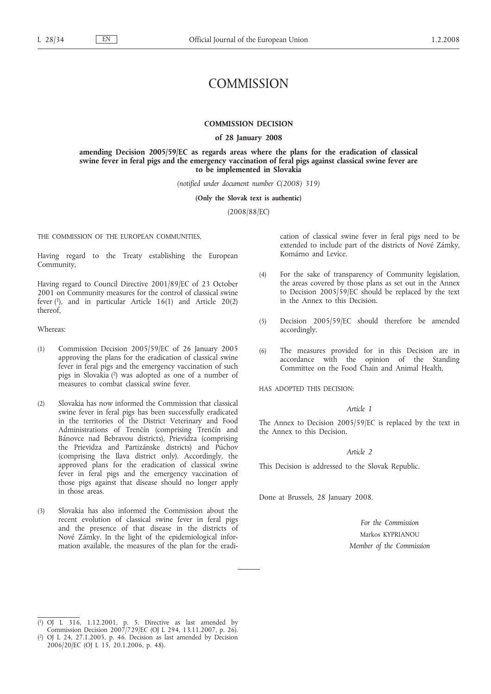# **COMMISSION**

### **COMMISSION DECISION**

### **of 28 January 2008**

**amending Decision 2005/59/EC as regards areas where the plans for the eradication of classical swine fever in feral pigs and the emergency vaccination of feral pigs against classical swine fever are to be implemented in Slovakia**

*(notified under document number C(2008) 319)*

**(Only the Slovak text is authentic)**

(2008/88/EC)

THE COMMISSION OF THE EUROPEAN COMMUNITIES,

Having regard to the Treaty establishing the European Community,

Having regard to Council Directive 2001/89/EC of 23 October 2001 on Community measures for the control of classical swine fever (1), and in particular Article 16(1) and Article 20(2) thereof,

Whereas:

- (1) Commission Decision 2005/59/EC of 26 January 2005 approving the plans for the eradication of classical swine fever in feral pigs and the emergency vaccination of such pigs in Slovakia (2) was adopted as one of a number of measures to combat classical swine fever.
- (2) Slovakia has now informed the Commission that classical swine fever in feral pigs has been successfully eradicated in the territories of the District Veterinary and Food Administrations of Trenčín (comprising Trenčín and Bánovce nad Bebravou districts), Prievidza (comprising the Prievidza and Partizánske districts) and Púchov (comprising the Ilava district only). Accordingly, the approved plans for the eradication of classical swine fever in feral pigs and the emergency vaccination of those pigs against that disease should no longer apply in those areas.
- (3) Slovakia has also informed the Commission about the recent evolution of classical swine fever in feral pigs and the presence of that disease in the districts of Nové Zámky. In the light of the epidemiological information available, the measures of the plan for the eradi-

cation of classical swine fever in feral pigs need to be extended to include part of the districts of Nové Zámky, Komárno and Levice.

- (4) For the sake of transparency of Community legislation, the areas covered by those plans as set out in the Annex to Decision 2005/59/EC should be replaced by the text in the Annex to this Decision.
- (5) Decision 2005/59/EC should therefore be amended accordingly.
- (6) The measures provided for in this Decision are in accordance with the opinion of the Standing Committee on the Food Chain and Animal Health,

HAS ADOPTED THIS DECISION:

# *Article 1*

The Annex to Decision 2005/59/EC is replaced by the text in the Annex to this Decision.

# *Article 2*

This Decision is addressed to the Slovak Republic.

Done at Brussels, 28 January 2008.

*For the Commission* Markos KYPRIANOU *Member of the Commission*

<sup>(</sup> 1) OJ L 316, 1.12.2001, p. 5. Directive as last amended by Commission Decision 2007/729/EC (OJ L 294, 13.11.2007, p. 26).

<sup>(</sup> 2) OJ L 24, 27.1.2005, p. 46. Decision as last amended by Decision 2006/20/EC (OJ L 15, 20.1.2006, p. 48).